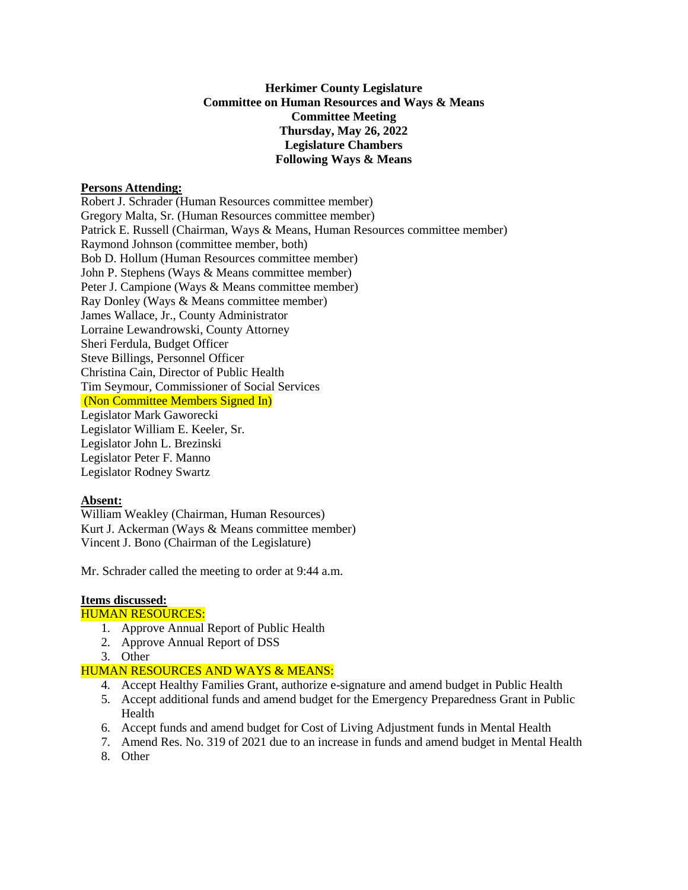### **Herkimer County Legislature Committee on Human Resources and Ways & Means Committee Meeting Thursday, May 26, 2022 Legislature Chambers Following Ways & Means**

#### **Persons Attending:**

Robert J. Schrader (Human Resources committee member) Gregory Malta, Sr. (Human Resources committee member) Patrick E. Russell (Chairman, Ways & Means, Human Resources committee member) Raymond Johnson (committee member, both) Bob D. Hollum (Human Resources committee member) John P. Stephens (Ways & Means committee member) Peter J. Campione (Ways & Means committee member) Ray Donley (Ways & Means committee member) James Wallace, Jr., County Administrator Lorraine Lewandrowski, County Attorney Sheri Ferdula, Budget Officer Steve Billings, Personnel Officer Christina Cain, Director of Public Health Tim Seymour, Commissioner of Social Services (Non Committee Members Signed In) Legislator Mark Gaworecki Legislator William E. Keeler, Sr. Legislator John L. Brezinski Legislator Peter F. Manno Legislator Rodney Swartz

# **Absent:**

William Weakley (Chairman, Human Resources) Kurt J. Ackerman (Ways & Means committee member) Vincent J. Bono (Chairman of the Legislature)

Mr. Schrader called the meeting to order at 9:44 a.m.

# **Items discussed:**

### HUMAN RESOURCES:

- 1. Approve Annual Report of Public Health
- 2. Approve Annual Report of DSS
- 3. Other

# HUMAN RESOURCES AND WAYS & MEANS:

- 4. Accept Healthy Families Grant, authorize e-signature and amend budget in Public Health
- 5. Accept additional funds and amend budget for the Emergency Preparedness Grant in Public Health
- 6. Accept funds and amend budget for Cost of Living Adjustment funds in Mental Health
- 7. Amend Res. No. 319 of 2021 due to an increase in funds and amend budget in Mental Health
- 8. Other